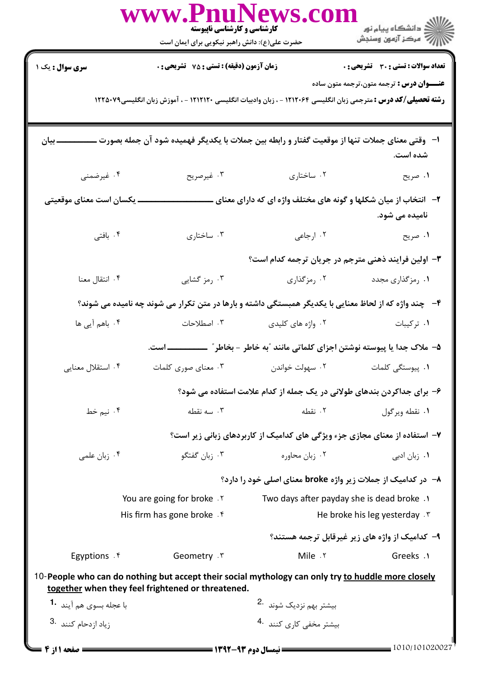|                                                                                                                                                         | www.rnuivews.con<br>کارشناسی و کارشناسی ناپیوسته<br>حضرت علی(ع): دانش راهبر نیکویی برای ایمان است                      |                                           | ڪ دانشڪاه پيام نور<br>  > مرڪز آزمون وسنڊش                                        |  |  |
|---------------------------------------------------------------------------------------------------------------------------------------------------------|------------------------------------------------------------------------------------------------------------------------|-------------------------------------------|-----------------------------------------------------------------------------------|--|--|
| <b>سری سوال :</b> یک ۱                                                                                                                                  | <b>زمان آزمون (دقیقه) : تستی : 75 تشریحی : 0</b>                                                                       |                                           | <b>تعداد سوالات : تستی : 30 ٪ تشریحی : 0</b>                                      |  |  |
|                                                                                                                                                         |                                                                                                                        |                                           | <b>عنــــوان درس :</b> ترجمه متون،ترجمه متون ساده                                 |  |  |
|                                                                                                                                                         | <b>رشته تحصیلی/کد درس :</b> مترجمی زبان انگلیسی ۱۲۱۲۰۶۴ - ، زبان وادبیات انگلیسی ۱۲۱۲۱۲۰ - ، آموزش زبان انگلیسی۱۲۲۵۰۷۹ |                                           |                                                                                   |  |  |
| ا– وقتی معنای جملات تنها از موقعیت گفتار و رابطه بین جملات با یکدیگر فهمیده شود آن جمله بصورت<br>ـ بيان<br>شده است.                                     |                                                                                                                        |                                           |                                                                                   |  |  |
| ۰۴ غیرضمنی                                                                                                                                              | ۰۳ غیرصریح                                                                                                             | ۰۲ ساختاری                                | ١. صريح                                                                           |  |  |
| ـ یکسان است معنای موقعیتی                                                                                                                               |                                                                                                                        |                                           | ۲- انتخاب از میان شکلها و گونه های مختلف واژه ای که دارای معنای<br>نامیده می شود. |  |  |
| ۰۴ بافتی                                                                                                                                                | ۰۳ ساختاری                                                                                                             | ۰۲ ارجاعی                                 | ۰۱ صریح                                                                           |  |  |
| ۳- اولین فرایند ذهنی مترجم در جریان ترجمه کدام است؟                                                                                                     |                                                                                                                        |                                           |                                                                                   |  |  |
| ۰۴ انتقال معنا                                                                                                                                          | ۰۳ رمز گشایی                                                                                                           | ۰۲ رمزگذاری                               | ۰۱ رمزگذاری مجدد                                                                  |  |  |
| ۴- چند واژه که از لحاظ معنایی با یکدیگر همبستگی داشته و بارها در متن تکرار می شوند چه نامیده می شوند؟                                                   |                                                                                                                        |                                           |                                                                                   |  |  |
| ۰۴ باهم آیی ها                                                                                                                                          | ۰۳ اصطلاحات                                                                                                            | ۰۲ واژه های کلیدی                         | ٠١. تركيبات                                                                       |  |  |
|                                                                                                                                                         | ۵– ملاک جدا یا پیوسته نوشتن اجزای کلماتی مانند ″به خاطر – بخاطر″ _<br>ـــ است.                                         |                                           |                                                                                   |  |  |
| ۰۴ استقلال معنایی                                                                                                                                       | ۰۳ معنای صوری کلمات                                                                                                    |                                           |                                                                                   |  |  |
|                                                                                                                                                         |                                                                                                                        |                                           | ۶– برای جداکردن بندهای طولانی در یک جمله از کدام علامت استفاده می شود؟            |  |  |
| ۰۴ نیم خط                                                                                                                                               | ۰۳ سه نقطه                                                                                                             | ٢. نقطه                                   | ۰۱ نقطه ویرگول                                                                    |  |  |
|                                                                                                                                                         | ۷– استفاده از معنای مجازی جزء ویژگی های کدامیک از کاربردهای زبانی زیر است؟                                             |                                           |                                                                                   |  |  |
| ۰۴ زبان علمی                                                                                                                                            | ۰۳ زبان گفتگو                                                                                                          | ۰۲ زبان محاوره                            | ۰۱ زبان ادبی                                                                      |  |  |
|                                                                                                                                                         | ۸− در کدامیک از جملات زیر واژه broke معنای اصلی خود را دارد؟                                                           |                                           |                                                                                   |  |  |
| You are going for broke . Y                                                                                                                             |                                                                                                                        | Two days after payday she is dead broke . |                                                                                   |  |  |
|                                                                                                                                                         | His firm has gone broke . f                                                                                            |                                           | He broke his leg yesterday . \v                                                   |  |  |
|                                                                                                                                                         |                                                                                                                        |                                           | ۹- کدامیک از واژه های زیر غیرقابل ترجمه هستند؟                                    |  |  |
| Egyptions . ۴                                                                                                                                           | Geometry . ٣                                                                                                           | Mile . ٢                                  | Greeks .1                                                                         |  |  |
| 10-People who can do nothing but accept their social mythology can only try to huddle more closely<br>together when they feel frightened or threatened. |                                                                                                                        |                                           |                                                                                   |  |  |
| با عجله بسوى هم آيند <b>1</b> ۰                                                                                                                         |                                                                                                                        | بیشتر بهم نزدیک شوند <sup>.2</sup>        |                                                                                   |  |  |
| 3. یاد ازدحام کنند                                                                                                                                      |                                                                                                                        | بیشتر مخفی کاری کنند 4.                   |                                                                                   |  |  |
| <b>= صفحه 1 از 4 =</b>                                                                                                                                  |                                                                                                                        |                                           | $\frac{1010}{101020027}$                                                          |  |  |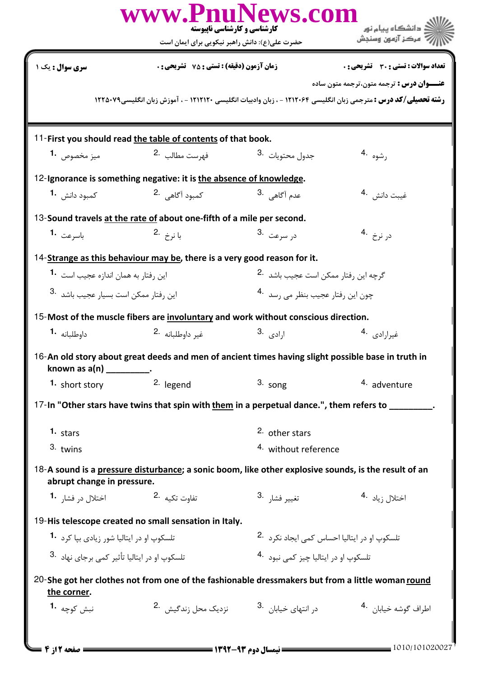|                                                                                                                                    | www.PnuNews.com<br>کارشناسی و کارشناسی ناپیوسته<br>حضرت علی(ع): دانش راهبر نیکویی برای ایمان است |                                                         | ري<br>اللاڪ دانشڪاه پيام نور<br>7' مرڪز آزمون وسنڊش |  |  |  |  |
|------------------------------------------------------------------------------------------------------------------------------------|--------------------------------------------------------------------------------------------------|---------------------------------------------------------|-----------------------------------------------------|--|--|--|--|
| <b>سری سوال :</b> یک ۱                                                                                                             | زمان آزمون (دقيقه) : تستى : 75 ٪ تشريحي : 0                                                      |                                                         | تعداد سوالات : تستى : 30 - تشريحي : 0               |  |  |  |  |
|                                                                                                                                    |                                                                                                  |                                                         | <b>عنـــوان درس :</b> ترجمه متون،ترجمه متون ساده    |  |  |  |  |
| <b>رشته تحصیلی/کد درس :</b> مترجمی زبان انگلیسی ۱۲۱۲۰۶۴ - ، زبان وادبیات انگلیسی ۱۲۱۲۱۲۰ - ، آموزش زبان انگلیسی۱۲۲۵۰۷۹             |                                                                                                  |                                                         |                                                     |  |  |  |  |
|                                                                                                                                    |                                                                                                  |                                                         |                                                     |  |  |  |  |
|                                                                                                                                    | 11-First you should read the table of contents of that book.                                     |                                                         |                                                     |  |  |  |  |
| ميز مخصوص <b>1</b> ۰                                                                                                               | فهرست مطالب 2.                                                                                   | جدول محتويات <sup>.3</sup>                              | رشوه .4                                             |  |  |  |  |
| 12-Ignorance is something negative: it is the absence of knowledge.                                                                |                                                                                                  |                                                         |                                                     |  |  |  |  |
| کمبود دانش <b>1</b> ۰                                                                                                              | كمبود آگاهي 2.                                                                                   | عدم آگاهي <sup>.3</sup>                                 | غيبت دانش . 4                                       |  |  |  |  |
|                                                                                                                                    | 13-Sound travels at the rate of about one-fifth of a mile per second.                            |                                                         |                                                     |  |  |  |  |
| باسرعت <b>1.</b>                                                                                                                   | $2.$ با نرخ                                                                                      | د <sub>ا</sub> سرعت 3.                                  | د <sub>ر نرخ</sub> .4                               |  |  |  |  |
|                                                                                                                                    | 14-Strange as this behaviour may be, there is a very good reason for it.                         |                                                         |                                                     |  |  |  |  |
| این رفتار به همان اندازه عجیب است <b>1۰</b>                                                                                        |                                                                                                  | گرچه این رفتار ممکن است عجیب باشد 2.                    |                                                     |  |  |  |  |
| این رفتار ممکن است بسیار عجیب باشد <sup>.3</sup>                                                                                   |                                                                                                  | چون اين رفتار عجيب بنظر مي رسد <sup>4</sup> ۰           |                                                     |  |  |  |  |
|                                                                                                                                    |                                                                                                  |                                                         |                                                     |  |  |  |  |
|                                                                                                                                    | 15-Most of the muscle fibers are involuntary and work without conscious direction.               |                                                         |                                                     |  |  |  |  |
| داوطلبانه 1.                                                                                                                       | غير داوطلبانه <sup>.2</sup>                                                                      | ا <sub>ر</sub> ادى .3                                   | غيرارادي <sup>.4</sup>                              |  |  |  |  |
| 16-An old story about great deeds and men of ancient times having slight possible base in truth in<br>known as $a(n)$ __________.  |                                                                                                  |                                                         |                                                     |  |  |  |  |
| 1. short story                                                                                                                     | 2. legend                                                                                        | $3.$ song                                               | 4. adventure                                        |  |  |  |  |
| 17-In "Other stars have twins that spin with them in a perpetual dance.", them refers to ________.                                 |                                                                                                  |                                                         |                                                     |  |  |  |  |
| 1. stars                                                                                                                           |                                                                                                  | 2. other stars                                          |                                                     |  |  |  |  |
| $3.$ twins                                                                                                                         |                                                                                                  | <sup>4.</sup> without reference                         |                                                     |  |  |  |  |
| 18-A sound is a pressure disturbance; a sonic boom, like other explosive sounds, is the result of an<br>abrupt change in pressure. |                                                                                                  |                                                         |                                                     |  |  |  |  |
| اختلال د <sub>ر</sub> فشار <b>1</b> ۰                                                                                              | تفاوت تكيه <sup>.2</sup>                                                                         | تغيير فشا <sub>ر</sub> <sup>.3</sup>                    | 4. اختلال <sub>i</sub> ياد                          |  |  |  |  |
|                                                                                                                                    | 19-His telescope created no small sensation in Italy.                                            |                                                         |                                                     |  |  |  |  |
| تلسکوپ او در ایتالیا شور زیادی بیا کرد <b>1</b> ۰                                                                                  |                                                                                                  | تلسکوپ او در ایتالیا احساس کمی ایجاد نکرد <sup>.2</sup> |                                                     |  |  |  |  |
| تلسکوپ او در ایتالیا تأثیر کم <i>ی</i> برجای نهاد 3.                                                                               |                                                                                                  | تلسكوپ او در ايتاليا چيز كمي نبود 4.                    |                                                     |  |  |  |  |
| 20-She got her clothes not from one of the fashionable dressmakers but from a little woman round<br>the corner.                    |                                                                                                  |                                                         |                                                     |  |  |  |  |
| نبش کوچه <b>1</b> ۰                                                                                                                |                                                                                                  |                                                         | اطراف گوشه خيابا <sub>ن</sub> <sup>.4</sup>         |  |  |  |  |
|                                                                                                                                    |                                                                                                  |                                                         |                                                     |  |  |  |  |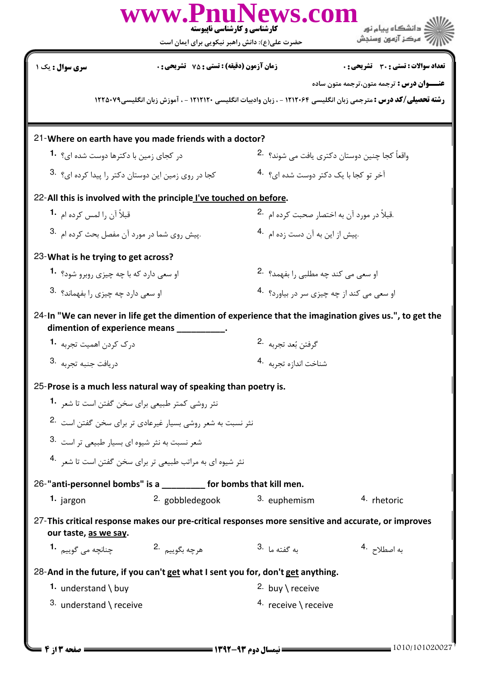|                                                                                                                                                                                         | کارشناسی و کارشناسی ناپیوسته<br>حضرت علی(ع): دانش راهبر نیکویی برای ایمان است                                                                   | www.PnuNews.com                             | دانشگاه پیام نور $\le$<br>" مرڪز آزمون وسنڊش                           |  |  |  |
|-----------------------------------------------------------------------------------------------------------------------------------------------------------------------------------------|-------------------------------------------------------------------------------------------------------------------------------------------------|---------------------------------------------|------------------------------------------------------------------------|--|--|--|
| سری سوال : یک ۱                                                                                                                                                                         | <b>زمان آزمون (دقیقه) : تستی : 75 ٪ تشریحی : 0</b>                                                                                              |                                             | تعداد سوالات : تستى : 30 قشريحى : 0                                    |  |  |  |
| <b>عنـــوان درس :</b> ترجمه متون،ترجمه متون ساده<br><b>رشته تحصیلی/کد درس :</b> مترجمی زبان انگلیسی ۱۲۱۲۰۶۴ - ، زبان وادبیات انگلیسی ۱۲۱۲۱۲۰ - ، آموزش زبان انگلیسی۱۲۲۵۰۷۹              |                                                                                                                                                 |                                             |                                                                        |  |  |  |
| 21-Where on earth have you made friends with a doctor?                                                                                                                                  |                                                                                                                                                 |                                             |                                                                        |  |  |  |
|                                                                                                                                                                                         | در کجای زمین با دکترها دوست شده ای؟ <b>1۰</b>                                                                                                   |                                             | واقعاً کجا چنین دوستان دکتری یافت مے <sub>،</sub> شوند؟ <sup>2</sup> ۰ |  |  |  |
|                                                                                                                                                                                         | کجا در روی زمین این دوستان دکتر را پیدا کرده ای؟ <sup>3.</sup>                                                                                  |                                             | آخر تو کجا با یک دکتر دوست شده ای؟ 4.                                  |  |  |  |
| 22-All this is involved with the principle I've touched on before.                                                                                                                      |                                                                                                                                                 |                                             |                                                                        |  |  |  |
| قبلاً آن ,ا لمس کرده ام <b>1۰</b>                                                                                                                                                       |                                                                                                                                                 |                                             | .قبلاً در مورد آن به اختصار صحبت کرده ام <sup>.2</sup>                 |  |  |  |
| .پیش روی شما در مورد آن مفصل بحث کرده ام <sup>.3</sup>                                                                                                                                  |                                                                                                                                                 | .پیش از این به آن دست زده ام <sup>4</sup> ۰ |                                                                        |  |  |  |
| 23-What is he trying to get across?                                                                                                                                                     |                                                                                                                                                 |                                             |                                                                        |  |  |  |
|                                                                                                                                                                                         | او سعی دارد که با چه چیزی روبرو شود؟ <b>1</b>                                                                                                   |                                             | او سعی می کند چه مطلبی را بفهمد؟   .2                                  |  |  |  |
|                                                                                                                                                                                         | او سعی دارد چه چیزی را بفهماند؟ 3.                                                                                                              |                                             | او سعي مي كند از چه چيزي سر در بياورد؟ 4.                              |  |  |  |
| 24-In "We can never in life get the dimention of experience that the imagination gives us.", to get the<br>dimention of experience means ____                                           |                                                                                                                                                 |                                             |                                                                        |  |  |  |
| درک کردن اهمیت تجربه <b>1</b> ۰                                                                                                                                                         |                                                                                                                                                 |                                             | گرفتن بُعد تجربه 2.                                                    |  |  |  |
| دريافت جنبه تجربه                                                                                                                                                                       |                                                                                                                                                 | شناخت اندازه تجربه <sup>4</sup> ۰           |                                                                        |  |  |  |
| 25-Prose is a much less natural way of speaking than poetry is.<br>نثر روشی کمتر طبیعی برای سخن گفتن است تا شع <sub>ر</sub> <b>1</b> ۰<br>شعر نسبت به نثر شیوه ای بسیار طبیعی تر است 3. | نثر نسبت به شعر روشی بسیار غیرعادی تر برای سخن گفتن است <sup>2</sup> ۰<br>نثر شیوه ای به مراتب طبیعی تر برای سخن گفتن است تا شعر <sup>4</sup> ۰ |                                             |                                                                        |  |  |  |
| 26-"anti-personnel bombs" is a __________ for bombs that kill men.                                                                                                                      |                                                                                                                                                 |                                             |                                                                        |  |  |  |
| 1. jargon                                                                                                                                                                               | <sup>2.</sup> gobbledegook                                                                                                                      | 3. euphemism                                | 4. rhetoric                                                            |  |  |  |
| 27-This critical response makes our pre-critical responses more sensitive and accurate, or improves<br>our taste, as we say.                                                            |                                                                                                                                                 |                                             |                                                                        |  |  |  |
| جنانچه مي گوييم <b>1</b> ۰                                                                                                                                                              | هرچه بگوييم 2.                                                                                                                                  | ىە گفتە ما <sup>.3</sup>                    | به اصطلا <i>ح</i> <sup>.4</sup>                                        |  |  |  |
| 28-And in the future, if you can't get what I sent you for, don't get anything.                                                                                                         |                                                                                                                                                 |                                             |                                                                        |  |  |  |
| 1. understand \ buy                                                                                                                                                                     |                                                                                                                                                 | 2. buy \ receive                            |                                                                        |  |  |  |
| $3.$ understand \ receive                                                                                                                                                               |                                                                                                                                                 | 4. receive \ receive                        |                                                                        |  |  |  |
| = صفحه 13 ; 4 =                                                                                                                                                                         | ــــــ نیمسال دوم ۹۳-۱۳۹۲ ــــــــــ                                                                                                            |                                             |                                                                        |  |  |  |